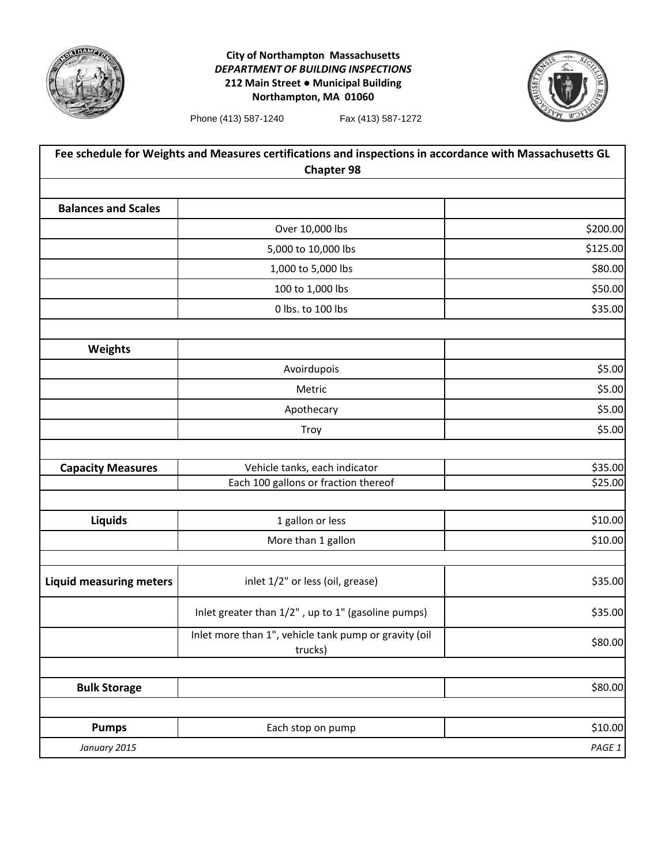

## **City of Northampton Massachusetts** *DEPARTMENT OF BUILDING INSPECTIONS* **212 Main Street ● Municipal Building Northampton, MA 01060**



Phone (413) 587-1240 Fax (413) 587-1272

| Fee schedule for Weights and Measures certifications and inspections in accordance with Massachusetts GL<br><b>Chapter 98</b> |                                                                  |          |
|-------------------------------------------------------------------------------------------------------------------------------|------------------------------------------------------------------|----------|
|                                                                                                                               |                                                                  |          |
| <b>Balances and Scales</b>                                                                                                    |                                                                  |          |
|                                                                                                                               | Over 10,000 lbs                                                  | \$200.00 |
|                                                                                                                               | 5,000 to 10,000 lbs                                              | \$125.00 |
|                                                                                                                               | 1,000 to 5,000 lbs                                               | \$80.00  |
|                                                                                                                               | 100 to 1,000 lbs                                                 | \$50.00  |
|                                                                                                                               | 0 lbs. to 100 lbs                                                | \$35.00  |
| <b>Weights</b>                                                                                                                |                                                                  |          |
|                                                                                                                               | Avoirdupois                                                      | \$5.00   |
|                                                                                                                               | Metric                                                           | \$5.00   |
|                                                                                                                               | Apothecary                                                       | \$5.00   |
|                                                                                                                               | Troy                                                             | \$5.00   |
| <b>Capacity Measures</b>                                                                                                      | Vehicle tanks, each indicator                                    | \$35.00  |
|                                                                                                                               | Each 100 gallons or fraction thereof                             | \$25.00  |
| Liquids                                                                                                                       | 1 gallon or less                                                 | \$10.00  |
|                                                                                                                               | More than 1 gallon                                               | \$10.00  |
| <b>Liquid measuring meters</b>                                                                                                | inlet 1/2" or less (oil, grease)                                 | \$35.00  |
|                                                                                                                               | Inlet greater than 1/2", up to 1" (gasoline pumps)               | \$35.00  |
|                                                                                                                               | Inlet more than 1", vehicle tank pump or gravity (oil<br>trucks) | \$80.00  |
| <b>Bulk Storage</b>                                                                                                           |                                                                  | \$80.00  |
|                                                                                                                               |                                                                  |          |
| <b>Pumps</b>                                                                                                                  | Each stop on pump                                                | \$10.00  |
| January 2015                                                                                                                  |                                                                  | PAGE 1   |